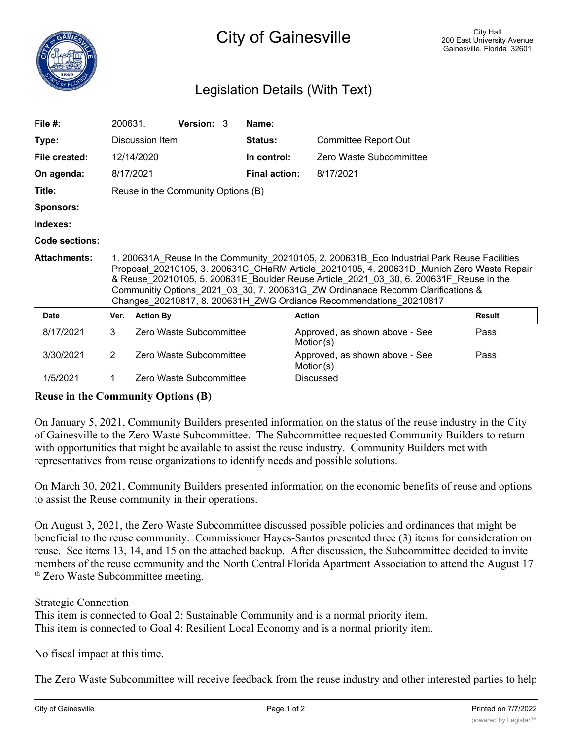

## City of Gainesville

## Legislation Details (With Text)

| File $#$ :          | 200631.                            |                  | <b>Version: 3</b>                                                                                                                                                                                                                                                                                                                                                                                                                           |  | Name:                |                                             |               |  |  |
|---------------------|------------------------------------|------------------|---------------------------------------------------------------------------------------------------------------------------------------------------------------------------------------------------------------------------------------------------------------------------------------------------------------------------------------------------------------------------------------------------------------------------------------------|--|----------------------|---------------------------------------------|---------------|--|--|
| Type:               | Discussion Item                    |                  |                                                                                                                                                                                                                                                                                                                                                                                                                                             |  | Status:              | <b>Committee Report Out</b>                 |               |  |  |
| File created:       |                                    | 12/14/2020       |                                                                                                                                                                                                                                                                                                                                                                                                                                             |  | In control:          | Zero Waste Subcommittee                     |               |  |  |
| On agenda:          | 8/17/2021                          |                  |                                                                                                                                                                                                                                                                                                                                                                                                                                             |  | <b>Final action:</b> | 8/17/2021                                   |               |  |  |
| Title:              | Reuse in the Community Options (B) |                  |                                                                                                                                                                                                                                                                                                                                                                                                                                             |  |                      |                                             |               |  |  |
| <b>Sponsors:</b>    |                                    |                  |                                                                                                                                                                                                                                                                                                                                                                                                                                             |  |                      |                                             |               |  |  |
| Indexes:            |                                    |                  |                                                                                                                                                                                                                                                                                                                                                                                                                                             |  |                      |                                             |               |  |  |
| Code sections:      |                                    |                  |                                                                                                                                                                                                                                                                                                                                                                                                                                             |  |                      |                                             |               |  |  |
|                     |                                    |                  | 1. 200631A Reuse In the Community 20210105, 2. 200631B Eco Industrial Park Reuse Facilities<br>Proposal 20210105, 3. 200631C CHaRM Article 20210105, 4. 200631D Munich Zero Waste Repair<br>& Reuse 20210105, 5. 200631E Boulder Reuse Article 2021 03 30, 6. 200631F Reuse in the<br>Communitiy Options 2021 03 30, 7. 200631G ZW Ordinanace Recomm Clarifications &<br>Changes_20210817, 8. 200631H_ZWG Ordiance Recommendations_20210817 |  |                      |                                             |               |  |  |
| <b>Attachments:</b> |                                    |                  |                                                                                                                                                                                                                                                                                                                                                                                                                                             |  |                      |                                             |               |  |  |
| Date                | Ver.                               | <b>Action By</b> |                                                                                                                                                                                                                                                                                                                                                                                                                                             |  |                      | <b>Action</b>                               | <b>Result</b> |  |  |
| 8/17/2021           | 3                                  |                  | Zero Waste Subcommittee                                                                                                                                                                                                                                                                                                                                                                                                                     |  |                      | Approved, as shown above - See<br>Motion(s) | Pass          |  |  |
| 3/30/2021           | $\overline{2}$                     |                  | Zero Waste Subcommittee                                                                                                                                                                                                                                                                                                                                                                                                                     |  |                      | Approved, as shown above - See<br>Motion(s) | Pass          |  |  |

## **Reuse in the Community Options (B)**

On January 5, 2021, Community Builders presented information on the status of the reuse industry in the City of Gainesville to the Zero Waste Subcommittee. The Subcommittee requested Community Builders to return with opportunities that might be available to assist the reuse industry. Community Builders met with representatives from reuse organizations to identify needs and possible solutions.

On March 30, 2021, Community Builders presented information on the economic benefits of reuse and options to assist the Reuse community in their operations.

On August 3, 2021, the Zero Waste Subcommittee discussed possible policies and ordinances that might be beneficial to the reuse community. Commissioner Hayes-Santos presented three (3) items for consideration on reuse. See items 13, 14, and 15 on the attached backup. After discussion, the Subcommittee decided to invite members of the reuse community and the North Central Florida Apartment Association to attend the August 17 th Zero Waste Subcommittee meeting.

Strategic Connection This item is connected to Goal 2: Sustainable Community and is a normal priority item. This item is connected to Goal 4: Resilient Local Economy and is a normal priority item.

No fiscal impact at this time.

The Zero Waste Subcommittee will receive feedback from the reuse industry and other interested parties to help